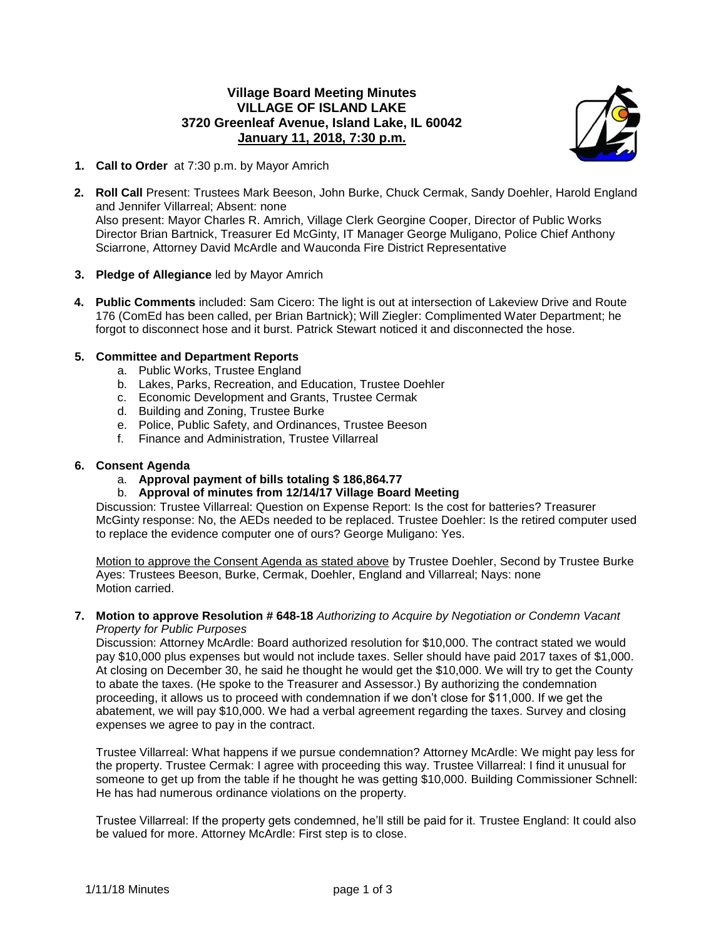# **Village Board Meeting Minutes VILLAGE OF ISLAND LAKE 3720 Greenleaf Avenue, Island Lake, IL 60042 January 11, 2018, 7:30 p.m.**



- **1. Call to Order** at 7:30 p.m. by Mayor Amrich
- **2. Roll Call** Present: Trustees Mark Beeson, John Burke, Chuck Cermak, Sandy Doehler, Harold England and Jennifer Villarreal; Absent: none Also present: Mayor Charles R. Amrich, Village Clerk Georgine Cooper, Director of Public Works Director Brian Bartnick, Treasurer Ed McGinty, IT Manager George Muligano, Police Chief Anthony Sciarrone, Attorney David McArdle and Wauconda Fire District Representative
- **3. Pledge of Allegiance** led by Mayor Amrich
- **4. Public Comments** included: Sam Cicero: The light is out at intersection of Lakeview Drive and Route 176 (ComEd has been called, per Brian Bartnick); Will Ziegler: Complimented Water Department; he forgot to disconnect hose and it burst. Patrick Stewart noticed it and disconnected the hose.

### **5. Committee and Department Reports**

- a. Public Works, Trustee England
- b. Lakes, Parks, Recreation, and Education, Trustee Doehler
- c. Economic Development and Grants, Trustee Cermak
- d. Building and Zoning, Trustee Burke
- e. Police, Public Safety, and Ordinances, Trustee Beeson
- f. Finance and Administration, Trustee Villarreal

#### **6. Consent Agenda**

- a. **Approval payment of bills totaling \$ 186,864.77**
- b. **Approval of minutes from 12/14/17 Village Board Meeting**

Discussion: Trustee Villarreal: Question on Expense Report: Is the cost for batteries? Treasurer McGinty response: No, the AEDs needed to be replaced. Trustee Doehler: Is the retired computer used to replace the evidence computer one of ours? George Muligano: Yes.

Motion to approve the Consent Agenda as stated above by Trustee Doehler, Second by Trustee Burke Ayes: Trustees Beeson, Burke, Cermak, Doehler, England and Villarreal; Nays: none Motion carried.

**7. Motion to approve Resolution # 648-18** *Authorizing to Acquire by Negotiation or Condemn Vacant Property for Public Purposes*

Discussion: Attorney McArdle: Board authorized resolution for \$10,000. The contract stated we would pay \$10,000 plus expenses but would not include taxes. Seller should have paid 2017 taxes of \$1,000. At closing on December 30, he said he thought he would get the \$10,000. We will try to get the County to abate the taxes. (He spoke to the Treasurer and Assessor.) By authorizing the condemnation proceeding, it allows us to proceed with condemnation if we don't close for \$11,000. If we get the abatement, we will pay \$10,000. We had a verbal agreement regarding the taxes. Survey and closing expenses we agree to pay in the contract.

Trustee Villarreal: What happens if we pursue condemnation? Attorney McArdle: We might pay less for the property. Trustee Cermak: I agree with proceeding this way. Trustee Villarreal: I find it unusual for someone to get up from the table if he thought he was getting \$10,000. Building Commissioner Schnell: He has had numerous ordinance violations on the property.

Trustee Villarreal: If the property gets condemned, he'll still be paid for it. Trustee England: It could also be valued for more. Attorney McArdle: First step is to close.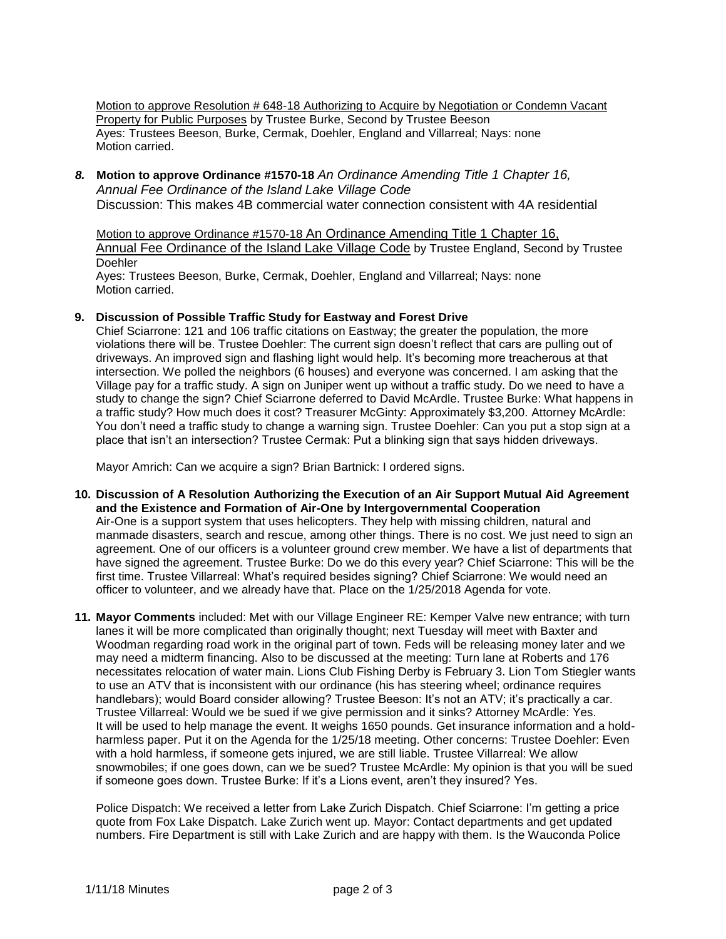Motion to approve Resolution # 648-18 Authorizing to Acquire by Negotiation or Condemn Vacant Property for Public Purposes by Trustee Burke, Second by Trustee Beeson Ayes: Trustees Beeson, Burke, Cermak, Doehler, England and Villarreal; Nays: none Motion carried.

*8.* **Motion to approve Ordinance #1570-18** *An Ordinance Amending Title 1 Chapter 16, Annual Fee Ordinance of the Island Lake Village Code* Discussion: This makes 4B commercial water connection consistent with 4A residential

Motion to approve Ordinance #1570-18 An Ordinance Amending Title 1 Chapter 16, Annual Fee Ordinance of the Island Lake Village Code by Trustee England, Second by Trustee **Doehler** 

Ayes: Trustees Beeson, Burke, Cermak, Doehler, England and Villarreal; Nays: none Motion carried.

## **9. Discussion of Possible Traffic Study for Eastway and Forest Drive**

Chief Sciarrone: 121 and 106 traffic citations on Eastway; the greater the population, the more violations there will be. Trustee Doehler: The current sign doesn't reflect that cars are pulling out of driveways. An improved sign and flashing light would help. It's becoming more treacherous at that intersection. We polled the neighbors (6 houses) and everyone was concerned. I am asking that the Village pay for a traffic study. A sign on Juniper went up without a traffic study. Do we need to have a study to change the sign? Chief Sciarrone deferred to David McArdle. Trustee Burke: What happens in a traffic study? How much does it cost? Treasurer McGinty: Approximately \$3,200. Attorney McArdle: You don't need a traffic study to change a warning sign. Trustee Doehler: Can you put a stop sign at a place that isn't an intersection? Trustee Cermak: Put a blinking sign that says hidden driveways.

Mayor Amrich: Can we acquire a sign? Brian Bartnick: I ordered signs.

- **10. Discussion of A Resolution Authorizing the Execution of an Air Support Mutual Aid Agreement and the Existence and Formation of Air-One by Intergovernmental Cooperation** Air-One is a support system that uses helicopters. They help with missing children, natural and manmade disasters, search and rescue, among other things. There is no cost. We just need to sign an agreement. One of our officers is a volunteer ground crew member. We have a list of departments that have signed the agreement. Trustee Burke: Do we do this every year? Chief Sciarrone: This will be the first time. Trustee Villarreal: What's required besides signing? Chief Sciarrone: We would need an officer to volunteer, and we already have that. Place on the 1/25/2018 Agenda for vote.
- **11. Mayor Comments** included: Met with our Village Engineer RE: Kemper Valve new entrance; with turn lanes it will be more complicated than originally thought; next Tuesday will meet with Baxter and Woodman regarding road work in the original part of town. Feds will be releasing money later and we may need a midterm financing. Also to be discussed at the meeting: Turn lane at Roberts and 176 necessitates relocation of water main. Lions Club Fishing Derby is February 3. Lion Tom Stiegler wants to use an ATV that is inconsistent with our ordinance (his has steering wheel; ordinance requires handlebars); would Board consider allowing? Trustee Beeson: It's not an ATV; it's practically a car. Trustee Villarreal: Would we be sued if we give permission and it sinks? Attorney McArdle: Yes. It will be used to help manage the event. It weighs 1650 pounds. Get insurance information and a holdharmless paper. Put it on the Agenda for the 1/25/18 meeting. Other concerns: Trustee Doehler: Even with a hold harmless, if someone gets injured, we are still liable. Trustee Villarreal: We allow snowmobiles; if one goes down, can we be sued? Trustee McArdle: My opinion is that you will be sued if someone goes down. Trustee Burke: If it's a Lions event, aren't they insured? Yes.

Police Dispatch: We received a letter from Lake Zurich Dispatch. Chief Sciarrone: I'm getting a price quote from Fox Lake Dispatch. Lake Zurich went up. Mayor: Contact departments and get updated numbers. Fire Department is still with Lake Zurich and are happy with them. Is the Wauconda Police